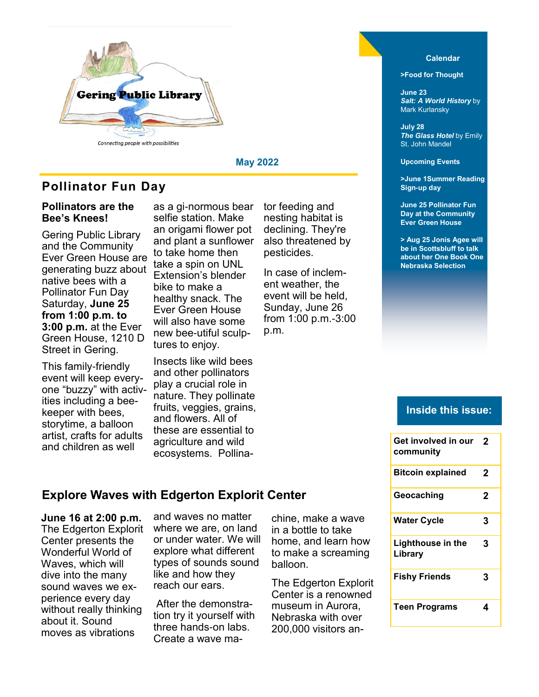

### **Pollinator Fun Day**

#### **Pollinators are the Bee's Knees!**

Gering Public Library and the Community Ever Green House are generating buzz about native bees with a Pollinator Fun Day Saturday, **June 25 from 1:00 p.m. to 3:00 p.m.** at the Ever Green House, 1210 D Street in Gering.

This family-friendly event will keep everyone "buzzy" with activities including a beekeeper with bees, storytime, a balloon artist, crafts for adults and children as well

as a gi-normous bear selfie station. Make an origami flower pot and plant a sunflower to take home then take a spin on UNL Extension's blender bike to make a healthy snack. The Ever Green House will also have some new bee-utiful sculptures to enjoy.

Insects like wild bees and other pollinators play a crucial role in nature. They pollinate fruits, veggies, grains, and flowers. All of these are essential to agriculture and wild ecosystems. Pollina-

tor feeding and nesting habitat is declining. They're also threatened by pesticides.

**May 2022**

In case of inclement weather, the event will be held, Sunday, June 26 from 1:00 p.m.-3:00 p.m.

#### **Calendar**

**>Food for Thought** 

**June 23** *Salt: A World History* by Mark Kurlansky

**July 28** *The Glass Hotel* by Emily St. John Mandel

**Upcoming Events**

**>June 1Summer Reading Sign-up day**

**June 25 Pollinator Fun Day at the Community Ever Green House**

**> Aug 25 Jonis Agee will be in Scottsbluff to talk about her One Book One Nebraska Selection**

#### **Inside this issue:**

**Get involved in our** 

| Get involved in our<br>community    | 2 |
|-------------------------------------|---|
| <b>Bitcoin explained</b>            | 2 |
| Geocaching                          | 2 |
| <b>Water Cycle</b>                  | 3 |
| <b>Lighthouse in the</b><br>Library | 3 |
| <b>Fishy Friends</b>                | 3 |
| <b>Teen Programs</b>                | 4 |

#### **Explore Waves with Edgerton Explorit Center**

**June 16 at 2:00 p.m.**  The Edgerton Explorit Center presents the Wonderful World of Waves, which will dive into the many sound waves we experience every day without really thinking about it. Sound moves as vibrations

and waves no matter where we are, on land or under water. We will explore what different types of sounds sound like and how they reach our ears.

After the demonstration try it yourself with three hands-on labs. Create a wave machine, make a wave in a bottle to take home, and learn how to make a screaming balloon.

The Edgerton Explorit Center is a renowned museum in Aurora, Nebraska with over 200,000 visitors an-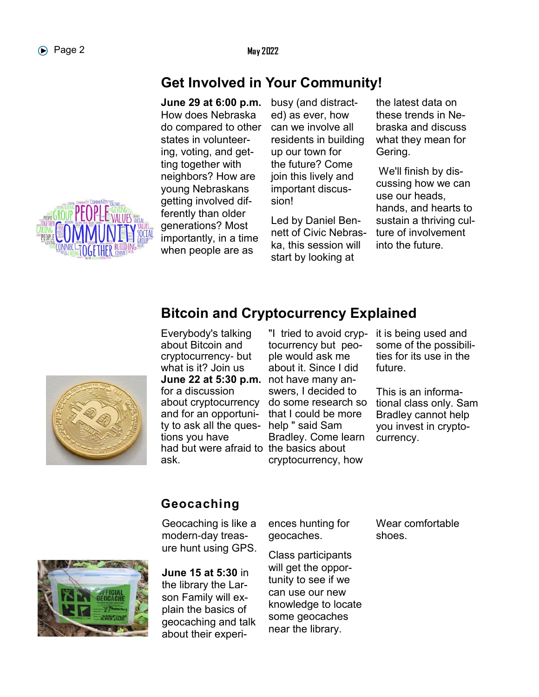# **Get Involved in Your Community!**

**June 29 at 6:00 p.m.**  How does Nebraska do compared to other states in volunteering, voting, and getting together with neighbors? How are young Nebraskans getting involved differently than older generations? Most importantly, in a time when people are as

busy (and distracted) as ever, how can we involve all residents in building up our town for the future? Come join this lively and important discussion!

Led by Daniel Bennett of Civic Nebraska, this session will start by looking at

the latest data on these trends in Nebraska and discuss what they mean for Gering.

We'll finish by discussing how we can use our heads, hands, and hearts to sustain a thriving culture of involvement into the future.



**Bitcoin and Cryptocurrency Explained**

**June 22 at 5:30 p.m.** not have many anhad but were afraid to the basics about Everybody's talking about Bitcoin and cryptocurrency- but what is it? Join us for a discussion about cryptocurrency and for an opportunity to ask all the questions you have ask.

"I tried to avoid cryptocurrency but people would ask me about it. Since I did swers, I decided to do some research so that I could be more help " said Sam Bradley. Come learn cryptocurrency, how

it is being used and some of the possibilities for its use in the future.

This is an informational class only. Sam Bradley cannot help you invest in cryptocurrency.

# **Geocaching**

Geocaching is like a modern-day treasure hunt using GPS.



**June 15 at 5:30** in the library the Larson Family will explain the basics of geocaching and talk about their experiences hunting for geocaches.

Class participants will get the opportunity to see if we can use our new knowledge to locate some geocaches near the library.

Wear comfortable shoes.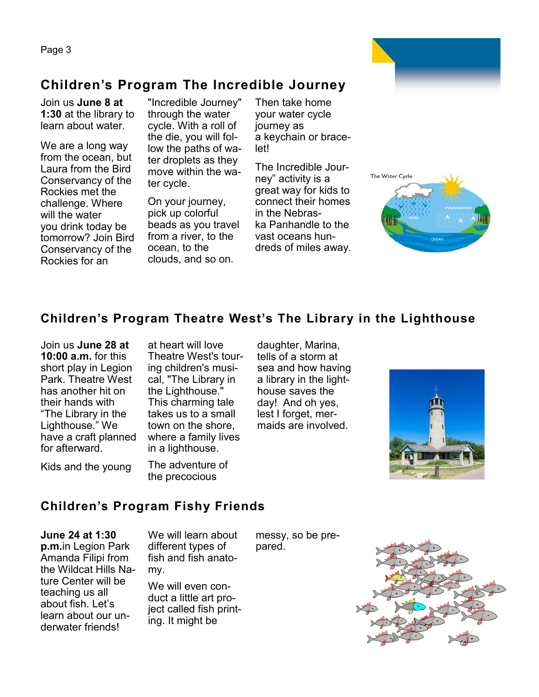Page 3

# **Children's Program The Incredible Journey**

Join us **June 8 at 1:30** at the library to learn about water.

We are a long way from the ocean, but Laura from the Bird Conservancy of the Rockies met the challenge. Where will the water you drink today be tomorrow? Join Bird Conservancy of the Rockies for an

"Incredible Journey" through the water cycle. With a roll of the die, you will follow the paths of water droplets as they move within the water cycle.

On your journey, pick up colorful beads as you travel from a river, to the ocean, to the clouds, and so on.

Then take home your water cycle journey as a keychain or bracelet!

The Incredible Journey" activity is a great way for kids to connect their homes in the Nebraska Panhandle to the vast oceans hundreds of miles away.



## **Children's Program Theatre West's The Library in the Lighthouse**

Join us **June 28 at 10:00 a.m.** for this short play in Legion Park. Theatre West has another hit on their hands with "The Library in the Lighthouse." We have a craft planned for afterward.

at heart will love Theatre West's touring children's musical, "The Library in the Lighthouse." This charming tale takes us to a small town on the shore, where a family lives in a lighthouse.

Kids and the young

The adventure of the precocious

daughter, Marina, tells of a storm at sea and how having a library in the lighthouse saves the day! And oh yes, lest I forget, mermaids are involved.



### **Children's Program Fishy Friends**

**June 24 at 1:30 p.m.**in Legion Park Amanda Filipi from the Wildcat Hills Nature Center will be teaching us all about fish. Let's learn about our underwater friends!

We will learn about different types of fish and fish anatomy.

We will even conduct a little art project called fish printing. It might be

messy, so be prepared.